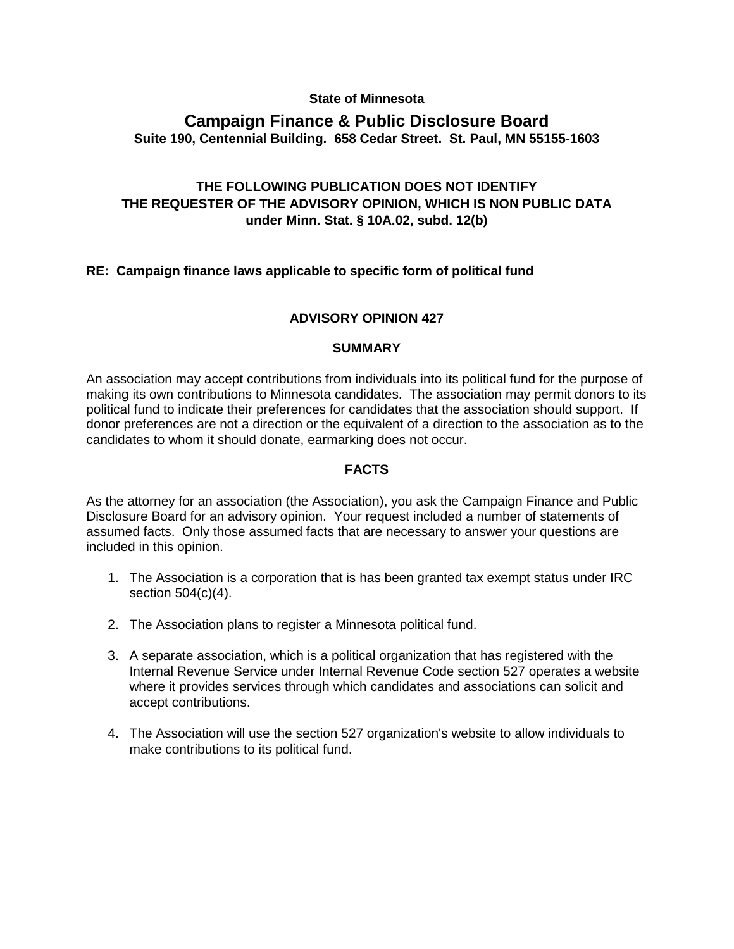#### **State of Minnesota**

# **Campaign Finance & Public Disclosure Board Suite 190, Centennial Building. 658 Cedar Street. St. Paul, MN 55155-1603**

## **THE FOLLOWING PUBLICATION DOES NOT IDENTIFY THE REQUESTER OF THE ADVISORY OPINION, WHICH IS NON PUBLIC DATA under Minn. Stat. § 10A.02, subd. 12(b)**

### **RE: Campaign finance laws applicable to specific form of political fund**

#### **ADVISORY OPINION 427**

#### **SUMMARY**

An association may accept contributions from individuals into its political fund for the purpose of making its own contributions to Minnesota candidates. The association may permit donors to its political fund to indicate their preferences for candidates that the association should support. If donor preferences are not a direction or the equivalent of a direction to the association as to the candidates to whom it should donate, earmarking does not occur.

#### **FACTS**

As the attorney for an association (the Association), you ask the Campaign Finance and Public Disclosure Board for an advisory opinion. Your request included a number of statements of assumed facts. Only those assumed facts that are necessary to answer your questions are included in this opinion.

- 1. The Association is a corporation that is has been granted tax exempt status under IRC section 504(c)(4).
- 2. The Association plans to register a Minnesota political fund.
- 3. A separate association, which is a political organization that has registered with the Internal Revenue Service under Internal Revenue Code section 527 operates a website where it provides services through which candidates and associations can solicit and accept contributions.
- 4. The Association will use the section 527 organization's website to allow individuals to make contributions to its political fund.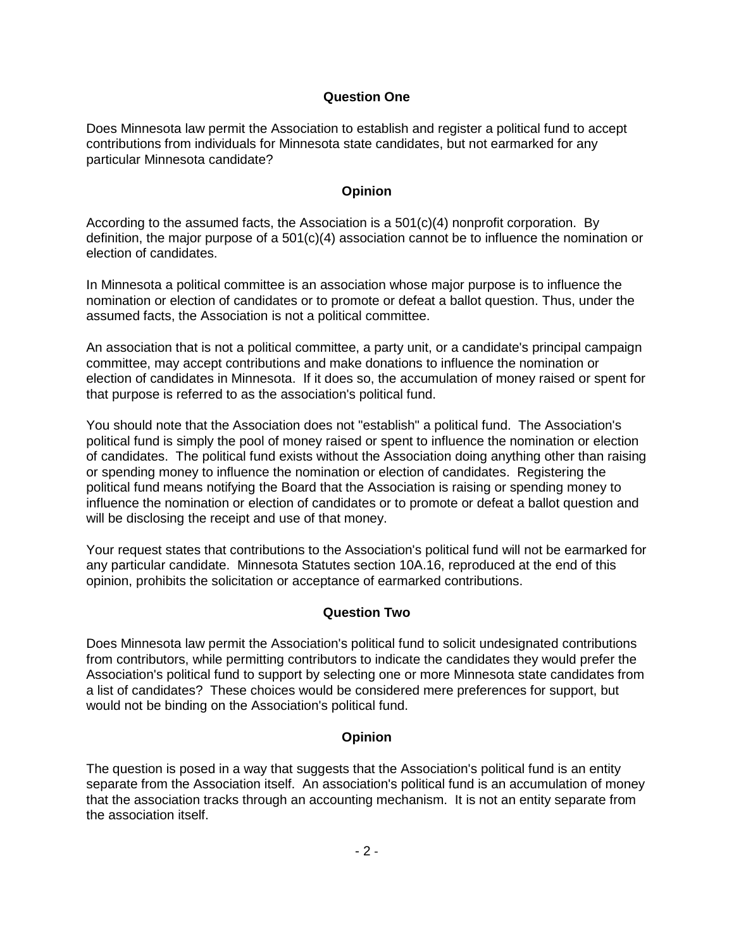### **Question One**

Does Minnesota law permit the Association to establish and register a political fund to accept contributions from individuals for Minnesota state candidates, but not earmarked for any particular Minnesota candidate?

### **Opinion**

According to the assumed facts, the Association is a  $501(c)(4)$  nonprofit corporation. By definition, the major purpose of a 501(c)(4) association cannot be to influence the nomination or election of candidates.

In Minnesota a political committee is an association whose major purpose is to influence the nomination or election of candidates or to promote or defeat a ballot question. Thus, under the assumed facts, the Association is not a political committee.

An association that is not a political committee, a party unit, or a candidate's principal campaign committee, may accept contributions and make donations to influence the nomination or election of candidates in Minnesota. If it does so, the accumulation of money raised or spent for that purpose is referred to as the association's political fund.

You should note that the Association does not "establish" a political fund. The Association's political fund is simply the pool of money raised or spent to influence the nomination or election of candidates. The political fund exists without the Association doing anything other than raising or spending money to influence the nomination or election of candidates. Registering the political fund means notifying the Board that the Association is raising or spending money to influence the nomination or election of candidates or to promote or defeat a ballot question and will be disclosing the receipt and use of that money.

Your request states that contributions to the Association's political fund will not be earmarked for any particular candidate. Minnesota Statutes section 10A.16, reproduced at the end of this opinion, prohibits the solicitation or acceptance of earmarked contributions.

### **Question Two**

Does Minnesota law permit the Association's political fund to solicit undesignated contributions from contributors, while permitting contributors to indicate the candidates they would prefer the Association's political fund to support by selecting one or more Minnesota state candidates from a list of candidates? These choices would be considered mere preferences for support, but would not be binding on the Association's political fund.

## **Opinion**

The question is posed in a way that suggests that the Association's political fund is an entity separate from the Association itself. An association's political fund is an accumulation of money that the association tracks through an accounting mechanism. It is not an entity separate from the association itself.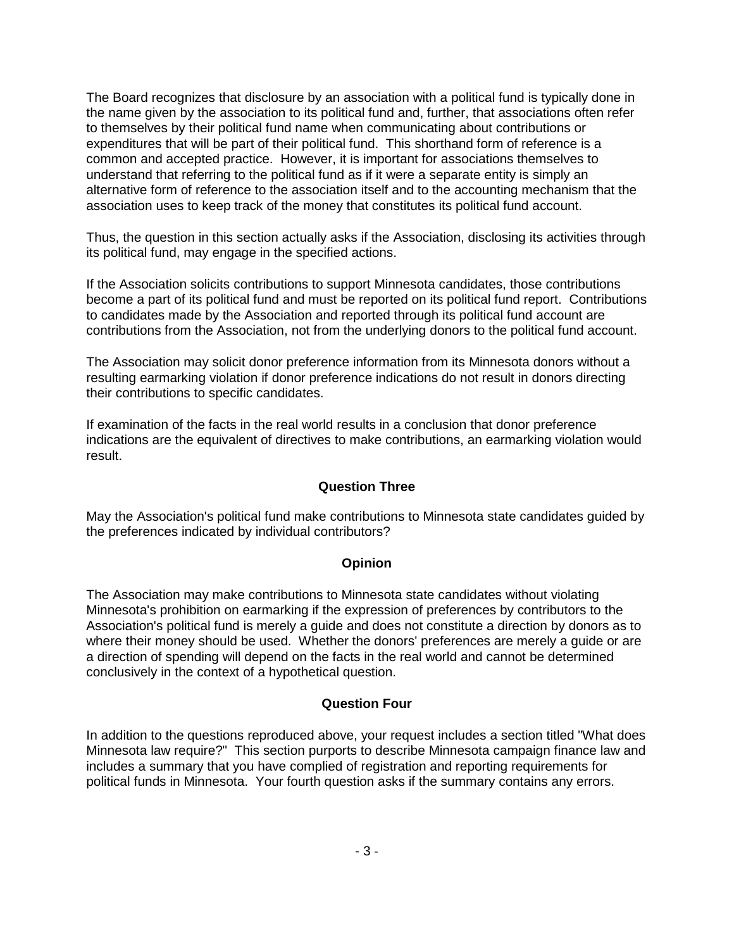The Board recognizes that disclosure by an association with a political fund is typically done in the name given by the association to its political fund and, further, that associations often refer to themselves by their political fund name when communicating about contributions or expenditures that will be part of their political fund. This shorthand form of reference is a common and accepted practice. However, it is important for associations themselves to understand that referring to the political fund as if it were a separate entity is simply an alternative form of reference to the association itself and to the accounting mechanism that the association uses to keep track of the money that constitutes its political fund account.

Thus, the question in this section actually asks if the Association, disclosing its activities through its political fund, may engage in the specified actions.

If the Association solicits contributions to support Minnesota candidates, those contributions become a part of its political fund and must be reported on its political fund report. Contributions to candidates made by the Association and reported through its political fund account are contributions from the Association, not from the underlying donors to the political fund account.

The Association may solicit donor preference information from its Minnesota donors without a resulting earmarking violation if donor preference indications do not result in donors directing their contributions to specific candidates.

If examination of the facts in the real world results in a conclusion that donor preference indications are the equivalent of directives to make contributions, an earmarking violation would result.

#### **Question Three**

May the Association's political fund make contributions to Minnesota state candidates guided by the preferences indicated by individual contributors?

#### **Opinion**

The Association may make contributions to Minnesota state candidates without violating Minnesota's prohibition on earmarking if the expression of preferences by contributors to the Association's political fund is merely a guide and does not constitute a direction by donors as to where their money should be used. Whether the donors' preferences are merely a guide or are a direction of spending will depend on the facts in the real world and cannot be determined conclusively in the context of a hypothetical question.

#### **Question Four**

In addition to the questions reproduced above, your request includes a section titled "What does Minnesota law require?" This section purports to describe Minnesota campaign finance law and includes a summary that you have complied of registration and reporting requirements for political funds in Minnesota. Your fourth question asks if the summary contains any errors.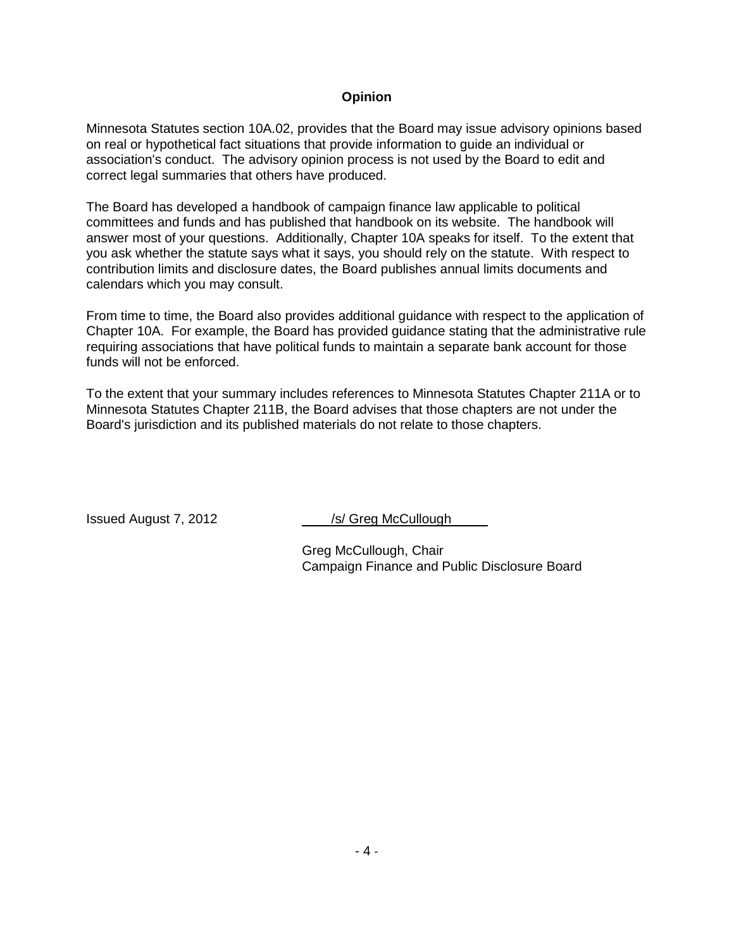### **Opinion**

Minnesota Statutes section 10A.02, provides that the Board may issue advisory opinions based on real or hypothetical fact situations that provide information to guide an individual or association's conduct. The advisory opinion process is not used by the Board to edit and correct legal summaries that others have produced.

The Board has developed a handbook of campaign finance law applicable to political committees and funds and has published that handbook on its website. The handbook will answer most of your questions. Additionally, Chapter 10A speaks for itself. To the extent that you ask whether the statute says what it says, you should rely on the statute. With respect to contribution limits and disclosure dates, the Board publishes annual limits documents and calendars which you may consult.

From time to time, the Board also provides additional guidance with respect to the application of Chapter 10A. For example, the Board has provided guidance stating that the administrative rule requiring associations that have political funds to maintain a separate bank account for those funds will not be enforced.

To the extent that your summary includes references to Minnesota Statutes Chapter 211A or to Minnesota Statutes Chapter 211B, the Board advises that those chapters are not under the Board's jurisdiction and its published materials do not relate to those chapters.

Issued August 7, 2012 */s/ Greg McCullough* 

Greg McCullough, Chair Campaign Finance and Public Disclosure Board